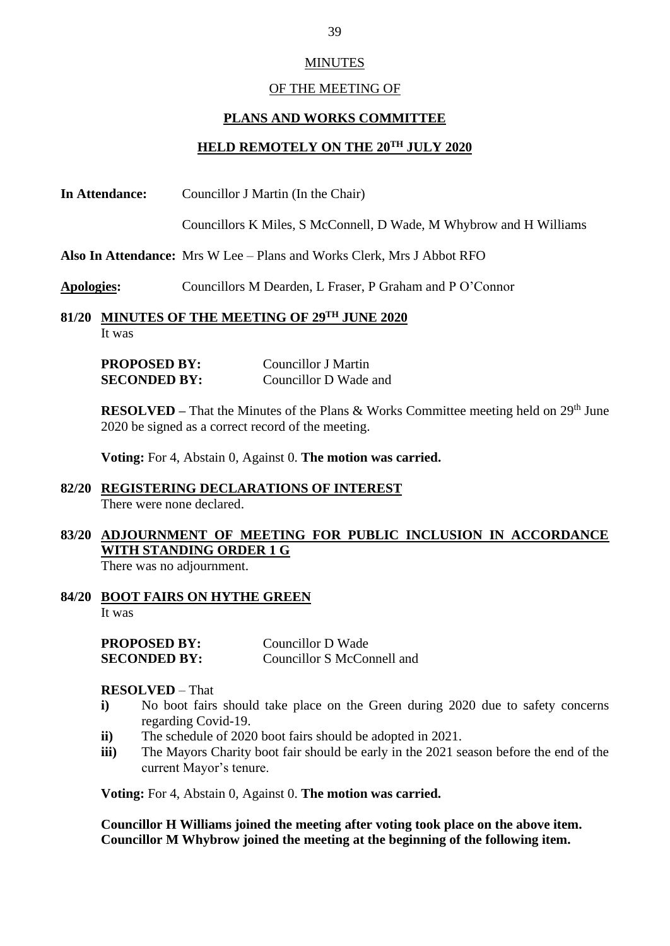## MINUTES

#### OF THE MEETING OF

#### **PLANS AND WORKS COMMITTEE**

## **HELD REMOTELY ON THE 20TH JULY 2020**

**In Attendance:** Councillor J Martin (In the Chair)

Councillors K Miles, S McConnell, D Wade, M Whybrow and H Williams

**Also In Attendance:** Mrs W Lee – Plans and Works Clerk, Mrs J Abbot RFO

- **Apologies:** Councillors M Dearden, L Fraser, P Graham and P O'Connor
- **81/20 MINUTES OF THE MEETING OF 29TH JUNE 2020** It was

| <b>PROPOSED BY:</b> | Councillor J Martin   |
|---------------------|-----------------------|
| <b>SECONDED BY:</b> | Councillor D Wade and |

**RESOLVED** – That the Minutes of the Plans & Works Committee meeting held on  $29<sup>th</sup>$  June 2020 be signed as a correct record of the meeting.

**Voting:** For 4, Abstain 0, Against 0. **The motion was carried.**

#### **82/20 REGISTERING DECLARATIONS OF INTEREST** There were none declared.

# **83/20 ADJOURNMENT OF MEETING FOR PUBLIC INCLUSION IN ACCORDANCE WITH STANDING ORDER 1 G**

There was no adjournment.

**84/20 BOOT FAIRS ON HYTHE GREEN** It was

| <b>PROPOSED BY:</b> | Councillor D Wade          |
|---------------------|----------------------------|
| <b>SECONDED BY:</b> | Councillor S McConnell and |

## **RESOLVED** – That

- **i)** No boot fairs should take place on the Green during 2020 due to safety concerns regarding Covid-19.
- **ii)** The schedule of 2020 boot fairs should be adopted in 2021.
- **iii)** The Mayors Charity boot fair should be early in the 2021 season before the end of the current Mayor's tenure.

**Voting:** For 4, Abstain 0, Against 0. **The motion was carried.**

**Councillor H Williams joined the meeting after voting took place on the above item. Councillor M Whybrow joined the meeting at the beginning of the following item.**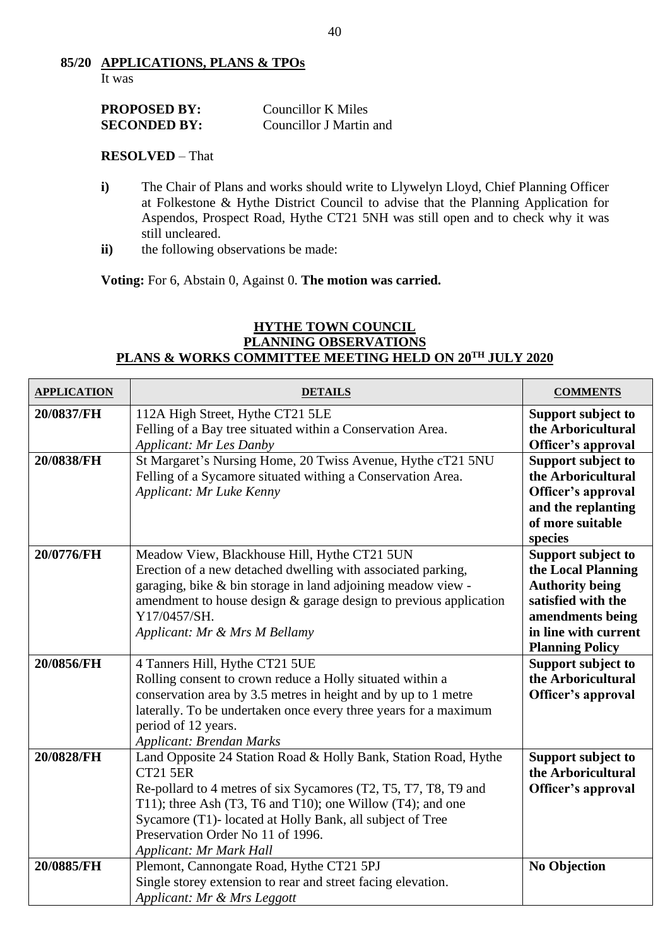### **85/20 APPLICATIONS, PLANS & TPOs** It was

| <b>PROPOSED BY:</b> | Councillor K Miles      |
|---------------------|-------------------------|
| <b>SECONDED BY:</b> | Councillor J Martin and |

## **RESOLVED** – That

- **i)** The Chair of Plans and works should write to Llywelyn Lloyd, Chief Planning Officer at Folkestone & Hythe District Council to advise that the Planning Application for Aspendos, Prospect Road, Hythe CT21 5NH was still open and to check why it was still uncleared.
- **ii)** the following observations be made:

**Voting:** For 6, Abstain 0, Against 0. **The motion was carried.**

## **HYTHE TOWN COUNCIL PLANNING OBSERVATIONS PLANS & WORKS COMMITTEE MEETING HELD ON 20TH JULY 2020**

| <b>APPLICATION</b> | <b>DETAILS</b>                                                                                                                                                                                                                                                                                                                                   | <b>COMMENTS</b>                                                                                                                                                |
|--------------------|--------------------------------------------------------------------------------------------------------------------------------------------------------------------------------------------------------------------------------------------------------------------------------------------------------------------------------------------------|----------------------------------------------------------------------------------------------------------------------------------------------------------------|
| 20/0837/FH         | 112A High Street, Hythe CT21 5LE<br>Felling of a Bay tree situated within a Conservation Area.<br><b>Applicant: Mr Les Danby</b>                                                                                                                                                                                                                 | Support subject to<br>the Arboricultural<br>Officer's approval                                                                                                 |
| 20/0838/FH         | St Margaret's Nursing Home, 20 Twiss Avenue, Hythe cT21 5NU<br>Felling of a Sycamore situated withing a Conservation Area.<br>Applicant: Mr Luke Kenny                                                                                                                                                                                           | Support subject to<br>the Arboricultural<br>Officer's approval<br>and the replanting<br>of more suitable<br>species                                            |
| 20/0776/FH         | Meadow View, Blackhouse Hill, Hythe CT21 5UN<br>Erection of a new detached dwelling with associated parking,<br>garaging, bike & bin storage in land adjoining meadow view -<br>amendment to house design & garage design to previous application<br>Y17/0457/SH.<br>Applicant: Mr & Mrs M Bellamy                                               | Support subject to<br>the Local Planning<br><b>Authority being</b><br>satisfied with the<br>amendments being<br>in line with current<br><b>Planning Policy</b> |
| 20/0856/FH         | 4 Tanners Hill, Hythe CT21 5UE<br>Rolling consent to crown reduce a Holly situated within a<br>conservation area by 3.5 metres in height and by up to 1 metre<br>laterally. To be undertaken once every three years for a maximum<br>period of 12 years.<br><b>Applicant: Brendan Marks</b>                                                      | Support subject to<br>the Arboricultural<br>Officer's approval                                                                                                 |
| 20/0828/FH         | Land Opposite 24 Station Road & Holly Bank, Station Road, Hythe<br><b>CT21 5ER</b><br>Re-pollard to 4 metres of six Sycamores (T2, T5, T7, T8, T9 and<br>T11); three Ash (T3, T6 and T10); one Willow (T4); and one<br>Sycamore (T1)- located at Holly Bank, all subject of Tree<br>Preservation Order No 11 of 1996.<br>Applicant: Mr Mark Hall | Support subject to<br>the Arboricultural<br>Officer's approval                                                                                                 |
| 20/0885/FH         | Plemont, Cannongate Road, Hythe CT21 5PJ<br>Single storey extension to rear and street facing elevation.<br>Applicant: Mr & Mrs Leggott                                                                                                                                                                                                          | <b>No Objection</b>                                                                                                                                            |